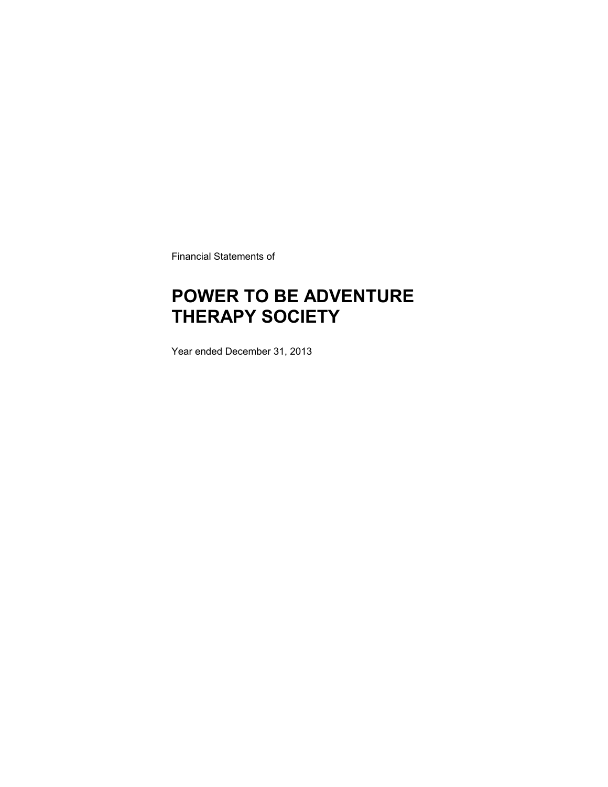Financial Statements of

### **POWER TO BE ADVENTURE THERAPY SOCIETY**

Year ended December 31, 2013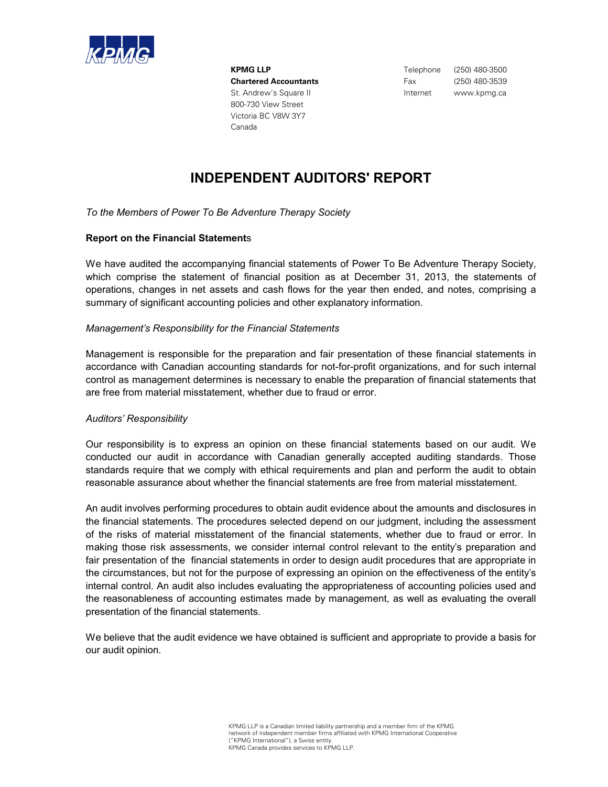

**KPMG LLP** Telephone (250) 480-3500 **Chartered Accountants** Fax (250) 480-3539 St. Andrew's Square II and the state of the linternet www.kpmg.ca 800-730 View Street Victoria BC V8W 3Y7 Canada

### **INDEPENDENT AUDITORS' REPORT**

*To the Members of Power To Be Adventure Therapy Society*

### **Report on the Financial Statement**s

We have audited the accompanying financial statements of Power To Be Adventure Therapy Society, which comprise the statement of financial position as at December 31, 2013, the statements of operations, changes in net assets and cash flows for the year then ended, and notes, comprising a summary of significant accounting policies and other explanatory information.

#### *Management's Responsibility for the Financial Statements*

Management is responsible for the preparation and fair presentation of these financial statements in accordance with Canadian accounting standards for not-for-profit organizations, and for such internal control as management determines is necessary to enable the preparation of financial statements that are free from material misstatement, whether due to fraud or error.

#### *Auditors' Responsibility*

Our responsibility is to express an opinion on these financial statements based on our audit. We conducted our audit in accordance with Canadian generally accepted auditing standards. Those standards require that we comply with ethical requirements and plan and perform the audit to obtain reasonable assurance about whether the financial statements are free from material misstatement.

An audit involves performing procedures to obtain audit evidence about the amounts and disclosures in the financial statements. The procedures selected depend on our judgment, including the assessment of the risks of material misstatement of the financial statements, whether due to fraud or error. In making those risk assessments, we consider internal control relevant to the entity's preparation and fair presentation of the financial statements in order to design audit procedures that are appropriate in the circumstances, but not for the purpose of expressing an opinion on the effectiveness of the entity's internal control. An audit also includes evaluating the appropriateness of accounting policies used and the reasonableness of accounting estimates made by management, as well as evaluating the overall presentation of the financial statements.

We believe that the audit evidence we have obtained is sufficient and appropriate to provide a basis for our audit opinion.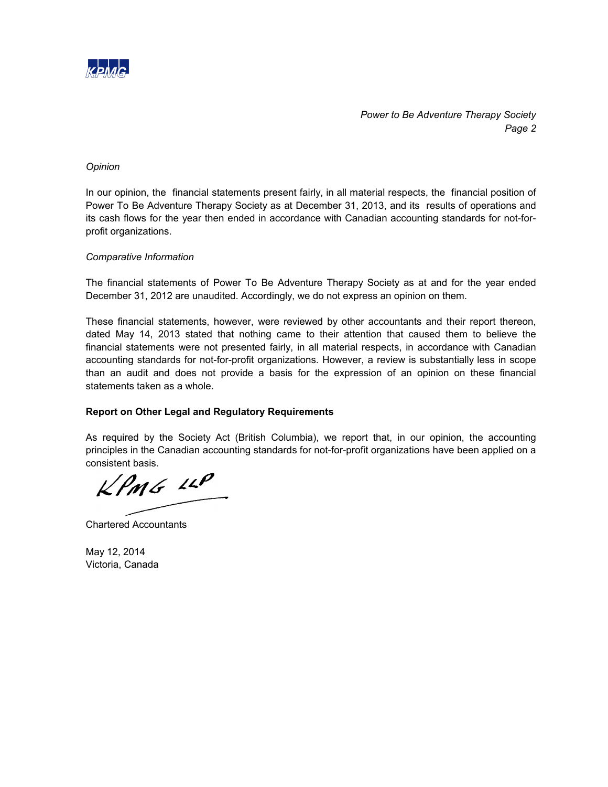

*Power to Be Adventure Therapy Society Page 2*

### *Opinion*

In our opinion, the financial statements present fairly, in all material respects, the financial position of Power To Be Adventure Therapy Society as at December 31, 2013, and its results of operations and its cash flows for the year then ended in accordance with Canadian accounting standards for not-forprofit organizations.

### *Comparative Information*

The financial statements of Power To Be Adventure Therapy Society as at and for the year ended December 31, 2012 are unaudited. Accordingly, we do not express an opinion on them.

These financial statements, however, were reviewed by other accountants and their report thereon, dated May 14, 2013 stated that nothing came to their attention that caused them to believe the financial statements were not presented fairly, in all material respects, in accordance with Canadian accounting standards for not-for-profit organizations. However, a review is substantially less in scope than an audit and does not provide a basis for the expression of an opinion on these financial statements taken as a whole.

#### **Report on Other Legal and Regulatory Requirements**

As required by the Society Act (British Columbia), we report that, in our opinion, the accounting principles in the Canadian accounting standards for not-for-profit organizations have been applied on a consistent basis.

 $KPMG$  11P

Chartered Accountants

May 12, 2014 Victoria, Canada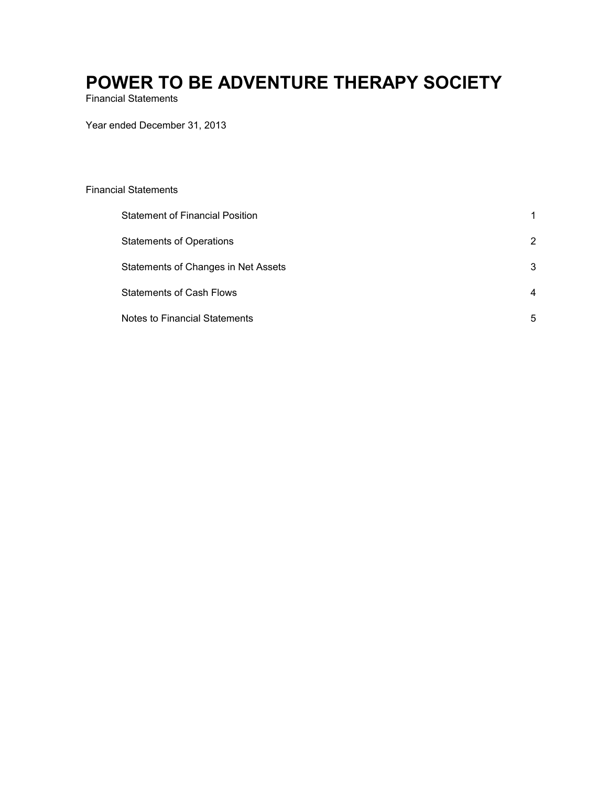Financial Statements

Year ended December 31, 2013

### Financial Statements

| <b>Statement of Financial Position</b> |                |
|----------------------------------------|----------------|
| <b>Statements of Operations</b>        | 2              |
| Statements of Changes in Net Assets    | 3              |
| <b>Statements of Cash Flows</b>        | $\overline{4}$ |
| <b>Notes to Financial Statements</b>   | 5              |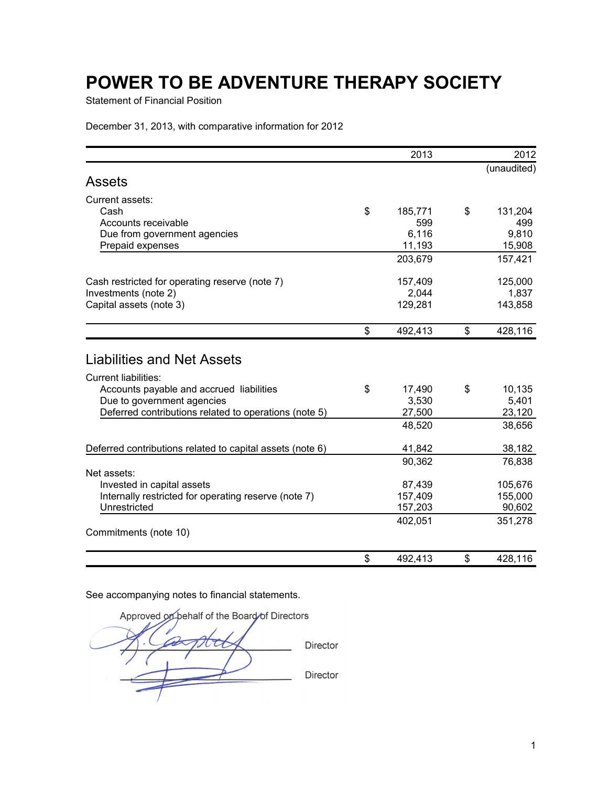Statement of Financial Position

December 31, 2013, with comparative information for 2012

|                                                           | 2013          | 2012          |
|-----------------------------------------------------------|---------------|---------------|
|                                                           |               | (unaudited)   |
| <b>Assets</b>                                             |               |               |
| Current assets:                                           |               |               |
| Cash                                                      | \$<br>185,771 | \$<br>131,204 |
| Accounts receivable                                       | 599           | 499           |
| Due from government agencies                              | 6,116         | 9,810         |
| Prepaid expenses                                          | 11,193        | 15,908        |
|                                                           | 203,679       | 157,421       |
| Cash restricted for operating reserve (note 7)            | 157,409       | 125,000       |
| Investments (note 2)                                      | 2,044         | 1,837         |
| Capital assets (note 3)                                   | 129,281       | 143,858       |
|                                                           | \$<br>492,413 | \$<br>428,116 |
|                                                           |               |               |
| <b>Liabilities and Net Assets</b>                         |               |               |
| <b>Current liabilities:</b>                               |               |               |
| Accounts payable and accrued liabilities                  | \$<br>17,490  | \$<br>10,135  |
| Due to government agencies                                | 3,530         | 5,401         |
| Deferred contributions related to operations (note 5)     | 27,500        | 23,120        |
|                                                           | 48,520        | 38,656        |
| Deferred contributions related to capital assets (note 6) | 41,842        | 38,182        |
|                                                           | 90,362        | 76,838        |
| Net assets:                                               |               |               |
| Invested in capital assets                                | 87,439        | 105,676       |
| Internally restricted for operating reserve (note 7)      | 157,409       | 155,000       |
| Unrestricted                                              | 157,203       | 90,602        |
|                                                           | 402,051       | 351,278       |
| Commitments (note 10)                                     |               |               |
|                                                           | \$<br>492,413 | \$<br>428,116 |

Approved on behalf of the Board of Directors  $\boldsymbol{\mathcal{D}}$ Director Director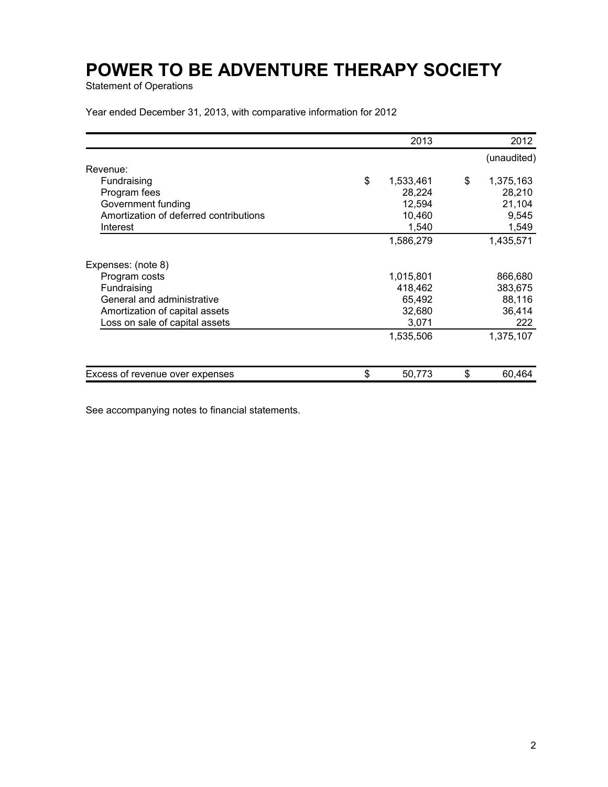Statement of Operations

Year ended December 31, 2013, with comparative information for 2012

|                                        | 2013            | 2012            |
|----------------------------------------|-----------------|-----------------|
|                                        |                 | (unaudited)     |
| Revenue:                               |                 |                 |
| Fundraising                            | \$<br>1,533,461 | \$<br>1,375,163 |
| Program fees                           | 28,224          | 28,210          |
| Government funding                     | 12,594          | 21,104          |
| Amortization of deferred contributions | 10,460          | 9,545           |
| Interest                               | 1,540           | 1,549           |
|                                        | 1,586,279       | 1,435,571       |
| Expenses: (note 8)                     |                 |                 |
| Program costs                          | 1,015,801       | 866,680         |
| Fundraising                            | 418,462         | 383,675         |
| General and administrative             | 65,492          | 88,116          |
| Amortization of capital assets         | 32,680          | 36,414          |
| Loss on sale of capital assets         | 3,071           | 222             |
|                                        | 1,535,506       | 1,375,107       |
|                                        |                 |                 |
| Excess of revenue over expenses        | \$<br>50,773    | \$<br>60,464    |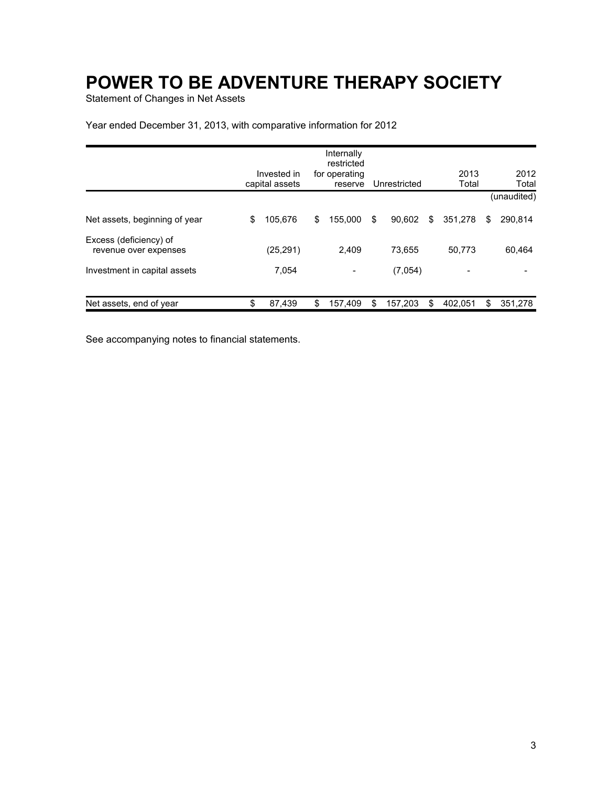Statement of Changes in Net Assets

Year ended December 31, 2013, with comparative information for 2012

|                                                 | Invested in<br>capital assets | Internally<br>restricted<br>for operating<br>reserve | Unrestricted  |    | 2013<br>Total |   | 2012<br>Total |
|-------------------------------------------------|-------------------------------|------------------------------------------------------|---------------|----|---------------|---|---------------|
|                                                 |                               |                                                      |               |    |               |   | (unaudited)   |
| Net assets, beginning of year                   | \$<br>105,676                 | \$<br>155.000                                        | \$<br>90.602  | \$ | 351,278       | S | 290,814       |
| Excess (deficiency) of<br>revenue over expenses | (25, 291)                     | 2,409                                                | 73.655        |    | 50,773        |   | 60,464        |
| Investment in capital assets                    | 7,054                         | -                                                    | (7.054)       |    | -             |   |               |
| Net assets, end of year                         | \$<br>87,439                  | \$<br>157,409                                        | \$<br>157,203 | S  | 402.051       | S | 351,278       |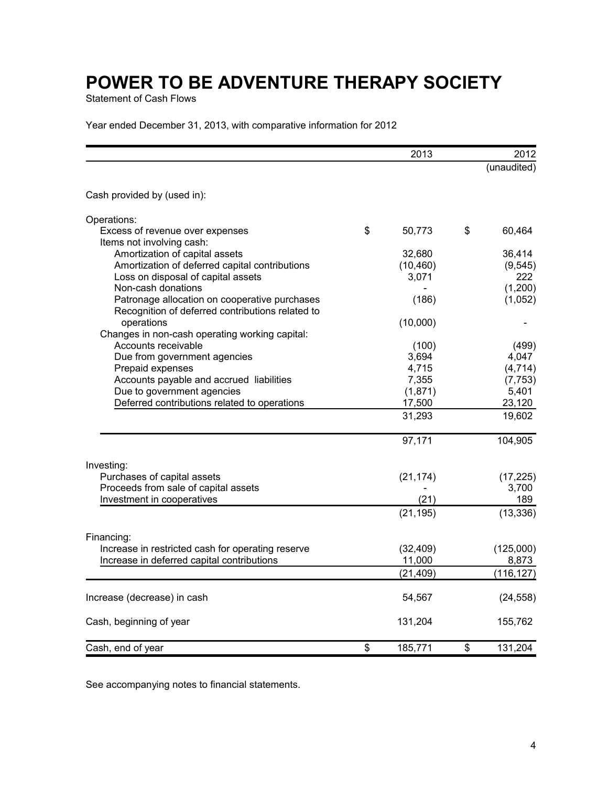Statement of Cash Flows

Year ended December 31, 2013, with comparative information for 2012

|                                                   | 2013          | 2012          |
|---------------------------------------------------|---------------|---------------|
|                                                   |               | (unaudited)   |
| Cash provided by (used in):                       |               |               |
| Operations:                                       |               |               |
| Excess of revenue over expenses                   | \$<br>50,773  | \$<br>60,464  |
| Items not involving cash:                         |               |               |
| Amortization of capital assets                    | 32,680        | 36,414        |
| Amortization of deferred capital contributions    | (10, 460)     | (9, 545)      |
| Loss on disposal of capital assets                | 3,071         | 222           |
| Non-cash donations                                |               | (1,200)       |
| Patronage allocation on cooperative purchases     | (186)         | (1,052)       |
| Recognition of deferred contributions related to  |               |               |
| operations                                        | (10,000)      |               |
| Changes in non-cash operating working capital:    |               |               |
| Accounts receivable                               | (100)         | (499)         |
| Due from government agencies                      | 3,694         | 4,047         |
| Prepaid expenses                                  | 4,715         | (4, 714)      |
| Accounts payable and accrued liabilities          | 7,355         | (7, 753)      |
| Due to government agencies                        | (1,871)       | 5,401         |
| Deferred contributions related to operations      | 17,500        | 23,120        |
|                                                   | 31,293        | 19,602        |
|                                                   | 97,171        | 104,905       |
| Investing:                                        |               |               |
| Purchases of capital assets                       | (21, 174)     | (17, 225)     |
| Proceeds from sale of capital assets              |               | 3,700         |
| Investment in cooperatives                        | (21)          | 189           |
|                                                   | (21, 195)     | (13, 336)     |
| Financing:                                        |               |               |
| Increase in restricted cash for operating reserve | (32, 409)     | (125,000)     |
| Increase in deferred capital contributions        | 11,000        | 8,873         |
|                                                   | (21, 409)     | (116, 127)    |
| Increase (decrease) in cash                       | 54,567        | (24, 558)     |
| Cash, beginning of year                           | 131,204       | 155,762       |
| Cash, end of year                                 | \$<br>185,771 | \$<br>131,204 |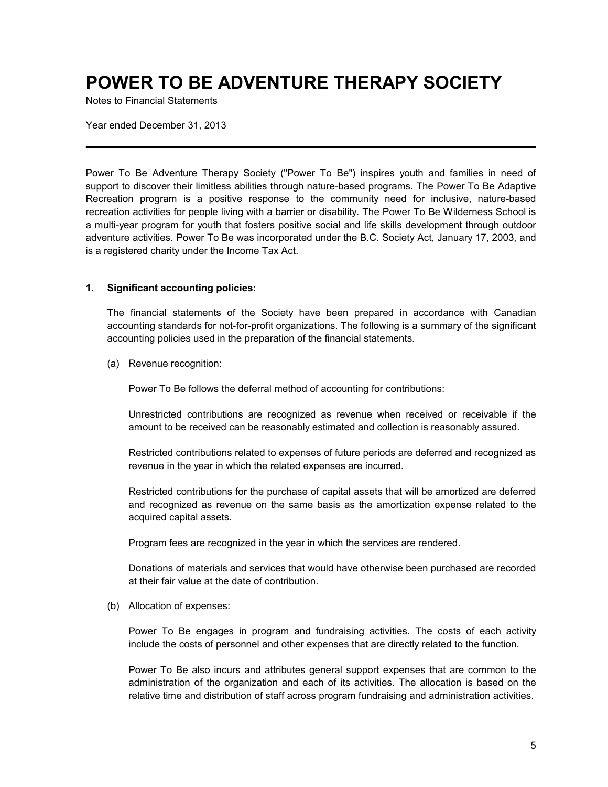Notes to Financial Statements

Year ended December 31, 2013

Power To Be Adventure Therapy Society ("Power To Be") inspires youth and families in need of support to discover their limitless abilities through nature-based programs. The Power To Be Adaptive Recreation program is a positive response to the community need for inclusive, nature-based recreation activities for people living with a barrier or disability. The Power To Be Wilderness School is a multi-year program for youth that fosters positive social and life skills development through outdoor adventure activities. Power To Be was incorporated under the B.C. Society Act, January 17, 2003, and is a registered charity under the Income Tax Act.

#### **1. Significant accounting policies:**

The financial statements of the Society have been prepared in accordance with Canadian accounting standards for not-for-profit organizations. The following is a summary of the significant accounting policies used in the preparation of the financial statements.

(a) Revenue recognition:

Power To Be follows the deferral method of accounting for contributions:

Unrestricted contributions are recognized as revenue when received or receivable if the amount to be received can be reasonably estimated and collection is reasonably assured.

Restricted contributions related to expenses of future periods are deferred and recognized as revenue in the year in which the related expenses are incurred.

Restricted contributions for the purchase of capital assets that will be amortized are deferred and recognized as revenue on the same basis as the amortization expense related to the acquired capital assets.

Program fees are recognized in the year in which the services are rendered.

Donations of materials and services that would have otherwise been purchased are recorded at their fair value at the date of contribution.

(b) Allocation of expenses:

Power To Be engages in program and fundraising activities. The costs of each activity include the costs of personnel and other expenses that are directly related to the function.

Power To Be also incurs and attributes general support expenses that are common to the administration of the organization and each of its activities. The allocation is based on the relative time and distribution of staff across program fundraising and administration activities.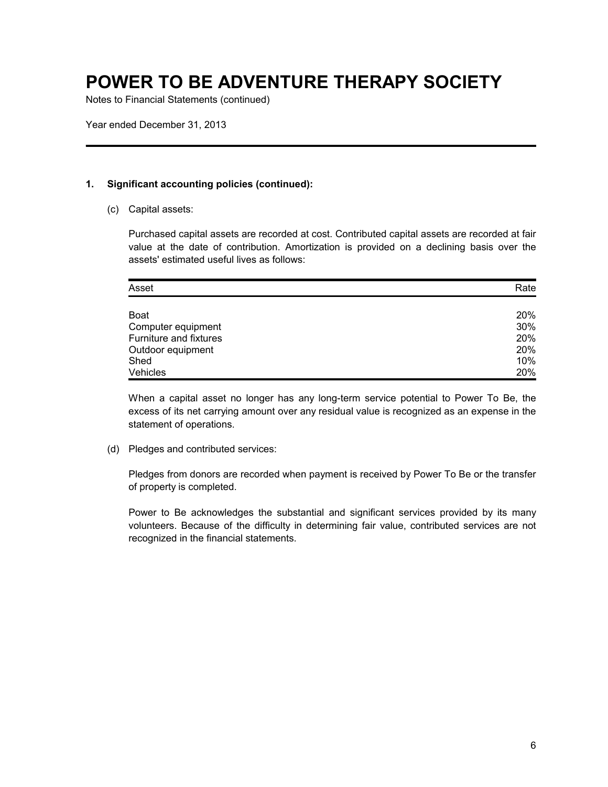Notes to Financial Statements (continued)

Year ended December 31, 2013

### **1. Significant accounting policies (continued):**

(c) Capital assets:

Purchased capital assets are recorded at cost. Contributed capital assets are recorded at fair value at the date of contribution. Amortization is provided on a declining basis over the assets' estimated useful lives as follows:

| Asset                  | Rate |
|------------------------|------|
|                        |      |
| <b>Boat</b>            | 20%  |
| Computer equipment     | 30%  |
| Furniture and fixtures | 20%  |
| Outdoor equipment      | 20%  |
| Shed                   | 10%  |
| Vehicles               | 20%  |

When a capital asset no longer has any long-term service potential to Power To Be, the excess of its net carrying amount over any residual value is recognized as an expense in the statement of operations.

(d) Pledges and contributed services:

Pledges from donors are recorded when payment is received by Power To Be or the transfer of property is completed.

Power to Be acknowledges the substantial and significant services provided by its many volunteers. Because of the difficulty in determining fair value, contributed services are not recognized in the financial statements.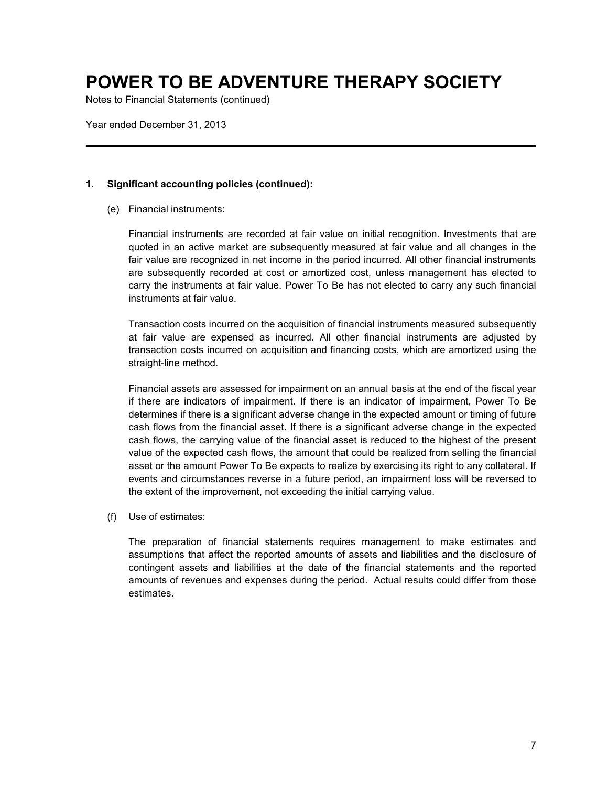Notes to Financial Statements (continued)

Year ended December 31, 2013

### **1. Significant accounting policies (continued):**

(e) Financial instruments:

Financial instruments are recorded at fair value on initial recognition. Investments that are quoted in an active market are subsequently measured at fair value and all changes in the fair value are recognized in net income in the period incurred. All other financial instruments are subsequently recorded at cost or amortized cost, unless management has elected to carry the instruments at fair value. Power To Be has not elected to carry any such financial instruments at fair value.

Transaction costs incurred on the acquisition of financial instruments measured subsequently at fair value are expensed as incurred. All other financial instruments are adjusted by transaction costs incurred on acquisition and financing costs, which are amortized using the straight-line method.

Financial assets are assessed for impairment on an annual basis at the end of the fiscal year if there are indicators of impairment. If there is an indicator of impairment, Power To Be determines if there is a significant adverse change in the expected amount or timing of future cash flows from the financial asset. If there is a significant adverse change in the expected cash flows, the carrying value of the financial asset is reduced to the highest of the present value of the expected cash flows, the amount that could be realized from selling the financial asset or the amount Power To Be expects to realize by exercising its right to any collateral. If events and circumstances reverse in a future period, an impairment loss will be reversed to the extent of the improvement, not exceeding the initial carrying value.

(f) Use of estimates:

The preparation of financial statements requires management to make estimates and assumptions that affect the reported amounts of assets and liabilities and the disclosure of contingent assets and liabilities at the date of the financial statements and the reported amounts of revenues and expenses during the period. Actual results could differ from those estimates.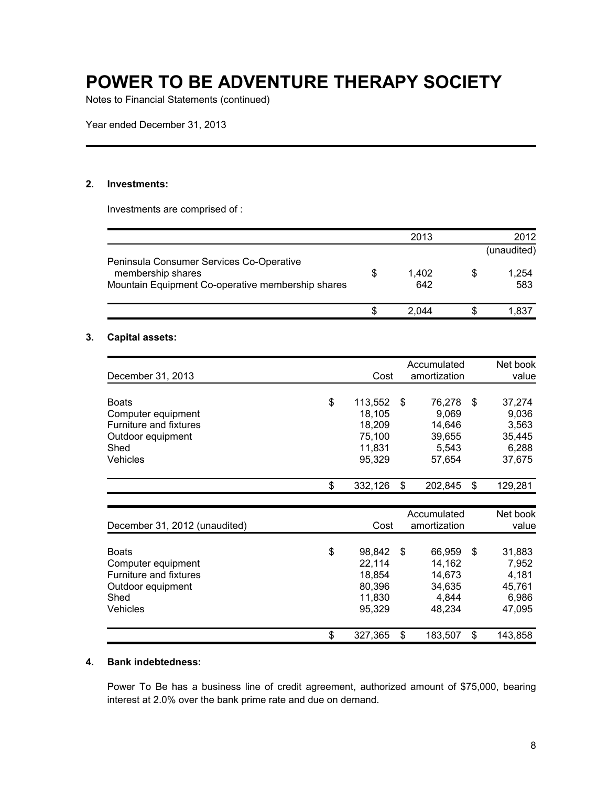Notes to Financial Statements (continued)

Year ended December 31, 2013

### **2. Investments:**

Investments are comprised of :

|    | 2013         |    | 2012         |
|----|--------------|----|--------------|
|    |              |    | (unaudited)  |
| \$ | 1,402<br>642 | \$ | 1,254<br>583 |
| S  | 2.044        | S  | 1,837        |
|    |              |    |              |

### **3. Capital assets:**

| December 31, 2013             | Cost          | Accumulated<br>amortization | Net book<br>value |
|-------------------------------|---------------|-----------------------------|-------------------|
|                               |               |                             |                   |
| <b>Boats</b>                  | \$<br>113,552 | \$<br>76,278                | \$<br>37,274      |
| Computer equipment            | 18,105        | 9,069                       | 9,036             |
| Furniture and fixtures        | 18,209        | 14,646                      | 3,563             |
| Outdoor equipment             | 75,100        | 39,655                      | 35,445            |
| Shed                          | 11,831        | 5,543                       | 6,288             |
| <b>Vehicles</b>               | 95,329        | 57,654                      | 37,675            |
|                               | \$<br>332,126 | \$<br>202,845               | \$<br>129,281     |
|                               |               |                             |                   |
|                               |               | Accumulated                 | Net book          |
| December 31, 2012 (unaudited) | Cost          | amortization                | value             |
| <b>Boats</b>                  | \$<br>98,842  | \$<br>66,959                | \$<br>31,883      |
| Computer equipment            | 22,114        | 14,162                      | 7,952             |
| Furniture and fixtures        | 18,854        | 14,673                      | 4,181             |
| Outdoor equipment             | 80,396        | 34,635                      | 45,761            |
| Shed                          | 11,830        | 4,844                       | 6,986             |
| <b>Vehicles</b>               | 95,329        | 48,234                      | 47,095            |
|                               | \$<br>327,365 | \$<br>183,507               | \$<br>143,858     |

### **4. Bank indebtedness:**

Power To Be has a business line of credit agreement, authorized amount of \$75,000, bearing interest at 2.0% over the bank prime rate and due on demand.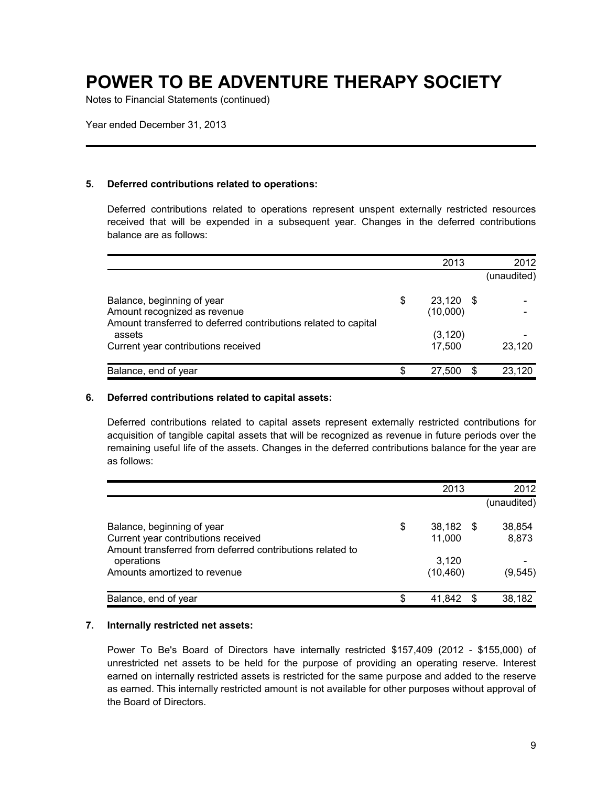Notes to Financial Statements (continued)

Year ended December 31, 2013

### **5. Deferred contributions related to operations:**

Deferred contributions related to operations represent unspent externally restricted resources received that will be expended in a subsequent year. Changes in the deferred contributions balance are as follows:

|    | 2013     |   | 2012        |
|----|----------|---|-------------|
|    |          |   | (unaudited) |
| \$ |          |   |             |
|    | (10,000) |   |             |
|    | (3, 120) |   |             |
|    | 17.500   |   | 23,120      |
| S  | 27,500   | S | 23,120      |
|    |          |   | $23,120$ \$ |

#### **6. Deferred contributions related to capital assets:**

Deferred contributions related to capital assets represent externally restricted contributions for acquisition of tangible capital assets that will be recognized as revenue in future periods over the remaining useful life of the assets. Changes in the deferred contributions balance for the year are as follows:

|                                                                                                                                |    | 2013             |      | 2012            |
|--------------------------------------------------------------------------------------------------------------------------------|----|------------------|------|-----------------|
|                                                                                                                                |    |                  |      | (unaudited)     |
| Balance, beginning of year<br>Current year contributions received<br>Amount transferred from deferred contributions related to | \$ | 38,182<br>11.000 | - \$ | 38,854<br>8,873 |
| operations                                                                                                                     |    | 3.120            |      |                 |
| Amounts amortized to revenue                                                                                                   |    | (10, 460)        |      | (9, 545)        |
| Balance, end of year                                                                                                           | S  | 41.842           | S    | 38,182          |

#### **7. Internally restricted net assets:**

Power To Be's Board of Directors have internally restricted \$157,409 (2012 - \$155,000) of unrestricted net assets to be held for the purpose of providing an operating reserve. Interest earned on internally restricted assets is restricted for the same purpose and added to the reserve as earned. This internally restricted amount is not available for other purposes without approval of the Board of Directors.